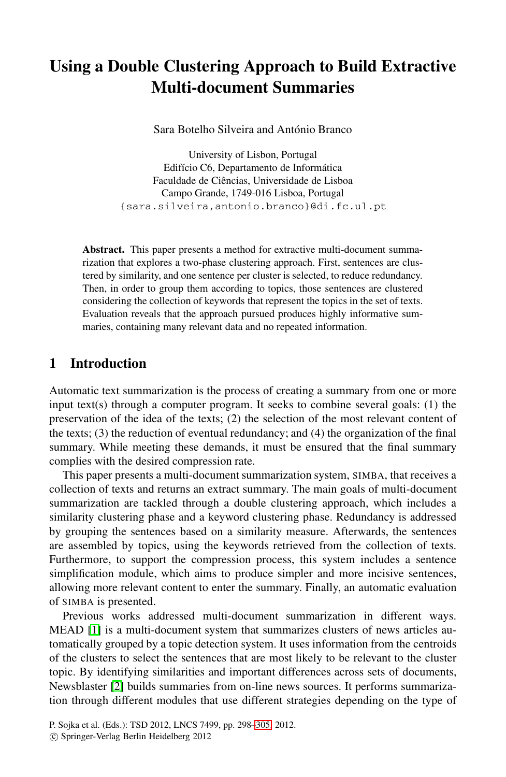# **Using a Double Clustering Approach to Build Extractive Multi-document Summaries**

Sara Botelho Silveira and António Branco

University of Lisbon, Portugal Edifício C6, Departamento de Informática Faculdade de Ciências, Universidade de Lisboa Campo Grande, 1749-016 Lisboa, Portugal {sara.silveira,antonio.branco}@di.fc.ul.pt

**Abstract.** This paper presents a method for extractive multi-document summarization that explores a two-phase clustering approach. First, sentences are clustered by similarity, and one sentence per cluster is selected, to reduce redundancy. Then, in order to group them according to topics, those sentences are clustered considering the collection of keywords that represent the topics in the set of texts. Evaluation reveals that the approach pursued produces highly informative summaries, containing many relevant data and no repeated information.

# **1 Introduction**

Automatic text summarization is the process of creating a summary from one or more input text(s) through a computer program. It seeks to combine several goals:  $(1)$  the preservation of the idea of the texts; (2) the selection of the most relevant content of the texts; (3) the reduction of eventual redundancy; and (4) the organization of the final summary. While meeting these demands, it must be ensured that the final summary complies with the desired compression rate.

This paper presents a multi-document summarization system, SIMBA, that receives a collection of texts and returns an extract summary. The main goals of multi-document summarization are tackled through a double clustering approach, which includes a similarity clustering phase and a keyword clustering phase. Redundancy is addressed by grouping the sentences based on a similarity measure. Afterwards, the sentences are assembled by topics, using the keywords retrieved from the collection of texts. Furthermore, to support the compression process, this system includes a sentence simplification module, which aims to produce simpler and more incisive sentences, allowing more relevant content to enter the summary. Finally, an automatic evaluation of SIMBA is presented.

Previous works addressed multi-document summarization in different ways. MEAD [\[1\]](#page-7-0) is a multi-document system that summarizes clusters of news articles automatically grouped by a topic detection system. It uses information from the centroids of the clusters to select the sentences that are most likely to be relevant to the cluster topic. By identifying similarities and important differences across sets of documents, Newsblaster [\[2\]](#page-7-1) builds summaries from on-line news sources. It performs summarization through different modules that use different strategies depending on the type of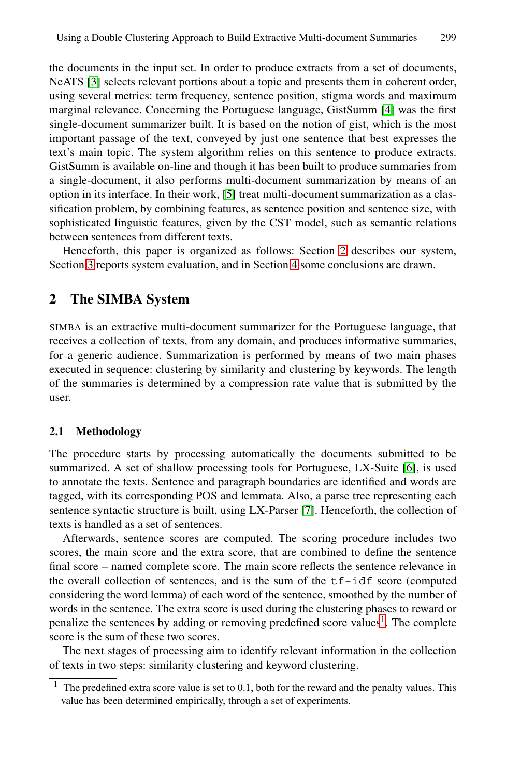the documents in the input set. In order to produce extracts from a set of documents, NeATS [\[3\]](#page-7-3) selects relevant portions about a topic and presents them in coherent order, using several metrics: term frequency, sentence position, stigma words and maximum marginal relevance. Concerning the Portuguese language, GistSumm [\[4\]](#page-7-4) was the first single-document summarizer built. It is based on the notion of gist, which is the most important passage of the text, conveyed by just one sentence that best expresses the text's main topic. The system algorithm relies on this sentence to produce extracts. GistSumm is available on-line and though it has been built to produce summaries from a single-document, it also performs multi-document summarization by means of an option in its interface. In their work, [\[5\]](#page-7-5) treat multi-document summarization as a classification problem, by combining features, as sentence position and sentence size, with sophisticated linguistic features, given by the CST model, such as semantic relations between sentences from different texts.

<span id="page-1-0"></span>Henceforth, this paper is organized as follows: Section [2](#page-1-0) describes our system, Section [3](#page-5-0) reports system evaluation, and in Section [4](#page-6-0) some conclusions are drawn.

### **2 The SIMBA System**

SIMBA is an extractive multi-document summarizer for the Portuguese language, that receives a collection of texts, from any domain, and produces informative summaries, for a generic audience. Summarization is performed by means of two main phases executed in sequence: clustering by similarity and clustering by keywords. The length of the summaries is determined by a compression rate value that is submitted by the user.

### **2.1 Methodology**

The procedure starts by processing automatically the documents submitted to be summarized. A set of shallow processing tools for Portuguese, LX-Suite [\[6\]](#page-7-6), is used to annotate the texts. Sentence and paragraph boundaries are identified and words are tagged, with its corresponding POS and lemmata. Also, a parse tree representing each sentence syntactic structure is built, using LX-Parser [\[7\]](#page-7-7). Henceforth, the collection of texts is handled as a set of sentences.

<span id="page-1-1"></span>Afterwards, sentence scores are computed. The scoring procedure includes two scores, the main score and the extra score, that are combined to define the sentence final score – named complete score. The main score reflects the sentence relevance in the overall collection of sentences, and is the sum of the  $tf$ -idf score (computed considering the word lemma) of each word of the sentence, smoothed by the number of words in the sentence. The extra score is used during the clustering phases to reward or penalize the sentences by adding or removing predefined score values<sup>1</sup>. The complete score is the sum of these two scores.

The next stages of processing aim to identify relevant information in the collection of texts in two steps: similarity clustering and keyword clustering.

The predefined extra score value is set to 0.1, both for the reward and the penalty values. This value has been determined empirically, through a set of experiments.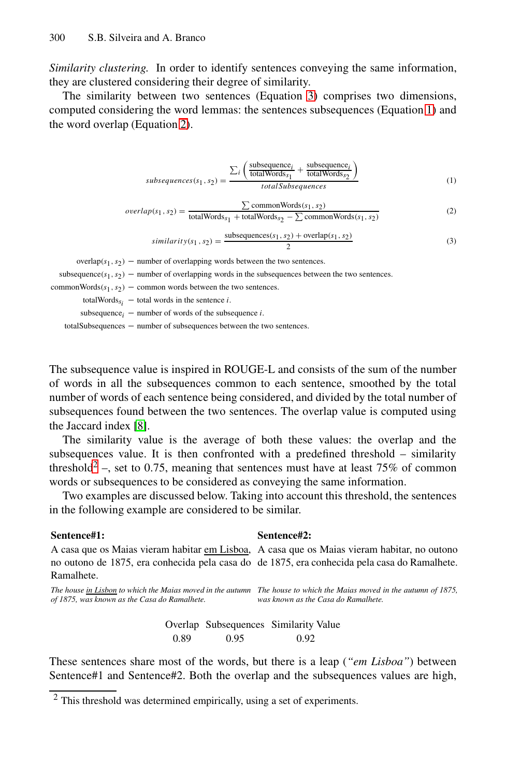<span id="page-2-1"></span>*Similarity clustering.* In order to identify sentences conveying the same information, they are clustered considering their degree of similarity.

The similarity between two sentences (Equation [3\)](#page-2-0) comprises two dimensions, computed considering the word lemmas: the sentences subsequences (Equation [1\)](#page-2-1) and the word overlap (Equation [2\)](#page-2-2).

<span id="page-2-2"></span><span id="page-2-0"></span>subsequences(s<sub>1</sub>, s<sub>2</sub>) = 
$$
\frac{\sum_{i} \left( \frac{\text{subsequence}_{i}}{\text{totalWords}_{s_1}} + \frac{\text{subsequence}_{i}}{\text{totalWords}_{s_2}} \right)}{\text{totalSubsequences}}
$$
(1)

$$
overlap(s_1, s_2) = \frac{\sum \text{commonWords}(s_1, s_2)}{\text{totalWords}_{s_1} + \text{totalWords}_{s_2} - \sum \text{commonWords}(s_1, s_2)}
$$
(2)

$$
similarity(s_1, s_2) = \frac{\text{subsequences}(s_1, s_2) + \text{overlap}(s_1, s_2)}{2} \tag{3}
$$

\n
$$
\text{overlap}(s_1, s_2) - \text{number of overlapping words between the two sentences.}
$$
\n

\n\n $\text{subsequence}(s_1, s_2) - \text{number of overlapping words in the subsequences between the two sentences.}$ \n

\n\n $\text{commonWords}(s_1, s_2) - \text{common words between the two sentences.}$ \n

\n\n $\text{totalWords}_{s_i} - \text{total words in the sentence } i.$ \n

\n\n $\text{subsequence}_i - \text{number of words of the subsequence } i.$ \n

\n\n $\text{totalSubsequences} - \text{number of subsequences between the two sentences.}$ \n

The subsequence value is inspired in ROUGE-L and consists of the sum of the number of words in all the subsequences common to each sentence, smoothed by the total number of words of each sentence being considered, and divided by the total number of subsequences found between the two sentences. The overlap value is computed using the Jaccard index [\[8\]](#page-7-8).

The similarity value is the average of both these values: the overlap and the subsequences value. It is then confronted with a predefined threshold – similarity threshold<sup>[2](#page-2-3)</sup> –, set to 0.75, meaning that sentences must have at least 75% of common words or subsequences to be considered as conveying the same information.

Two examples are discussed below. Taking into account this threshold, the sentences in the following example are considered to be similar.

### **Sentence#1: Sentence#2:**

A casa que os Maias vieram habitar em Lisboa, A casa que os Maias vieram habitar, no outono no outono de 1875, era conhecida pela casa do de 1875, era conhecida pela casa do Ramalhete. Ramalhete.

*The house in Lisbon to which the Maias moved in the autumn The house to which the Maias moved in the autumn of 1875, of 1875, was known as the Casa do Ramalhete. was known as the Casa do Ramalhete.*

> <span id="page-2-3"></span>Overlap Subsequences Similarity Value 0.89 0.95 0.92

These sentences share most of the words, but there is a leap (*"em Lisboa"*) between Sentence#1 and Sentence#2. Both the overlap and the subsequences values are high,

<sup>&</sup>lt;sup>2</sup> This threshold was determined empirically, using a set of experiments.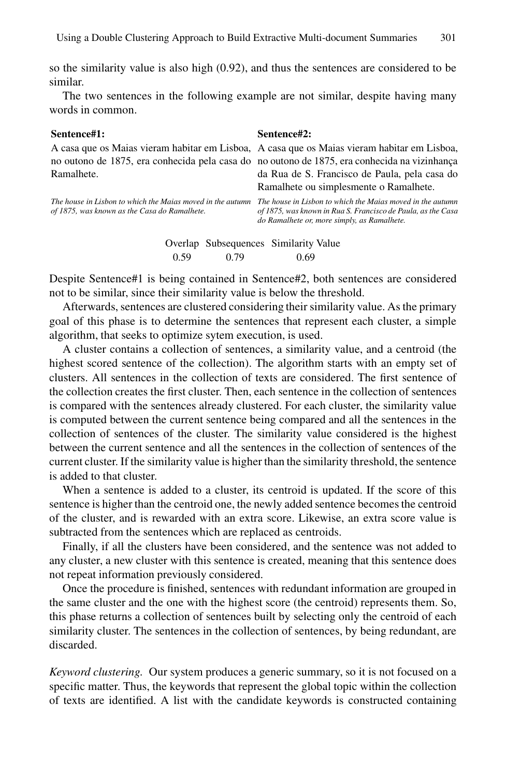so the similarity value is also high (0.92), and thus the sentences are considered to be similar.

The two sentences in the following example are not similar, despite having many words in common.

### **Sentence#1: Sentence#2:**

| A casa que os Maias vieram habitar em Lisboa, A casa que os Maias vieram habitar em Lisboa,                |                                                                                                                                                                           |
|------------------------------------------------------------------------------------------------------------|---------------------------------------------------------------------------------------------------------------------------------------------------------------------------|
| no outono de 1875, era conhecida pela casa do no outono de 1875, era conhecida na vizinhança               |                                                                                                                                                                           |
| Ramalhete.                                                                                                 | da Rua de S. Francisco de Paula, pela casa do                                                                                                                             |
|                                                                                                            | Ramalhete ou simplesmente o Ramalhete.                                                                                                                                    |
| The house in Lisbon to which the Maias moved in the autumn<br>of 1875, was known as the Casa do Ramalhete. | The house in Lisbon to which the Maias moved in the autumn<br>of 1875, was known in Rua S. Francisco de Paula, as the Casa<br>do Ramalhete or, more simply, as Ramalhete. |

Overlap Subsequences Similarity Value 0.59 0.79 0.69

Despite Sentence#1 is being contained in Sentence#2, both sentences are considered not to be similar, since their similarity value is below the threshold.

Afterwards, sentences are clustered considering their similarity value. As the primary goal of this phase is to determine the sentences that represent each cluster, a simple algorithm, that seeks to optimize sytem execution, is used.

A cluster contains a collection of sentences, a similarity value, and a centroid (the highest scored sentence of the collection). The algorithm starts with an empty set of clusters. All sentences in the collection of texts are considered. The first sentence of the collection creates the first cluster. Then, each sentence in the collection of sentences is compared with the sentences already clustered. For each cluster, the similarity value is computed between the current sentence being compared and all the sentences in the collection of sentences of the cluster. The similarity value considered is the highest between the current sentence and all the sentences in the collection of sentences of the current cluster. If the similarity value is higher than the similarity threshold, the sentence is added to that cluster.

When a sentence is added to a cluster, its centroid is updated. If the score of this sentence is higher than the centroid one, the newly added sentence becomes the centroid of the cluster, and is rewarded with an extra score. Likewise, an extra score value is subtracted from the sentences which are replaced as centroids.

Finally, if all the clusters have been considered, and the sentence was not added to any cluster, a new cluster with this sentence is created, meaning that this sentence does not repeat information previously considered.

Once the procedure is finished, sentences with redundant information are grouped in the same cluster and the one with the highest score (the centroid) represents them. So, this phase returns a collection of sentences built by selecting only the centroid of each similarity cluster. The sentences in the collection of sentences, by being redundant, are discarded.

*Keyword clustering.* Our system produces a generic summary, so it is not focused on a specific matter. Thus, the keywords that represent the global topic within the collection of texts are identified. A list with the candidate keywords is constructed containing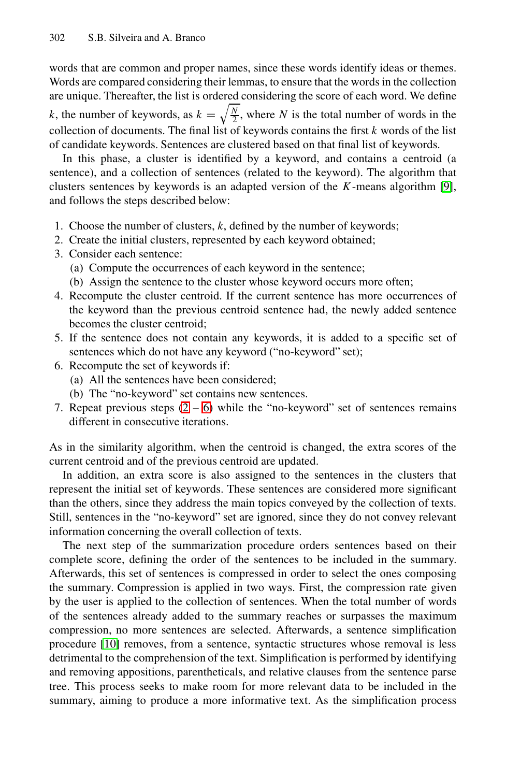words that are common and proper names, since these words identify ideas or themes. Words are compared considering their lemmas, to ensure that the words in the collection are unique. Thereafter, the list is ordered considering the score of each word. We define k, the number of keywords, as  $k = \sqrt{\frac{N}{2}}$ , where N is the total number of words in the collection of documents. The final list of keywords contains the first *k* words of the list of candidate keywords. Sentences are clustered based on that final list of keywords.

<span id="page-4-0"></span>In this phase, a cluster is identified by a keyword, and contains a centroid (a sentence), and a collection of sentences (related to the keyword). The algorithm that clusters sentences by keywords is an adapted version of the *K*-means algorithm [\[9\]](#page-7-9), and follows the steps described below:

- 1. Choose the number of clusters, *k*, defined by the number of keywords;
- 2. Create the initial clusters, represented by each keyword obtained;
- <span id="page-4-1"></span>3. Consider each sentence:
	- (a) Compute the occurrences of each keyword in the sentence;
	- (b) Assign the sentence to the cluster whose keyword occurs more often;
- 4. Recompute the cluster centroid. If the current sentence has more occurrences of the keyword than the previous centroid sentence had, the newly added sentence becomes the cluster centroid;
- 5. If the sentence does not contain any keywords, it is added to a specific set of sentences which do not have any keyword ("no-keyword" set);
- 6. Recompute the set of keywords if:
	- (a) All the sentences have been considered;
	- (b) The "no-keyword" set contains new sentences.
- 7. Repeat previous steps  $(2 6)$  $(2 6)$  $(2 6)$  while the "no-keyword" set of sentences remains different in consecutive iterations.

As in the similarity algorithm, when the centroid is changed, the extra scores of the current centroid and of the previous centroid are updated.

In addition, an extra score is also assigned to the sentences in the clusters that represent the initial set of keywords. These sentences are considered more significant than the others, since they address the main topics conveyed by the collection of texts. Still, sentences in the "no-keyword" set are ignored, since they do not convey relevant information concerning the overall collection of texts.

The next step of the summarization procedure orders sentences based on their complete score, defining the order of the sentences to be included in the summary. Afterwards, this set of sentences is compressed in order to select the ones composing the summary. Compression is applied in two ways. First, the compression rate given by the user is applied to the collection of sentences. When the total number of words of the sentences already added to the summary reaches or surpasses the maximum compression, no more sentences are selected. Afterwards, a sentence simplification procedure [\[10\]](#page-7-10) removes, from a sentence, syntactic structures whose removal is less detrimental to the comprehension of the text. Simplification is performed by identifying and removing appositions, parentheticals, and relative clauses from the sentence parse tree. This process seeks to make room for more relevant data to be included in the summary, aiming to produce a more informative text. As the simplification process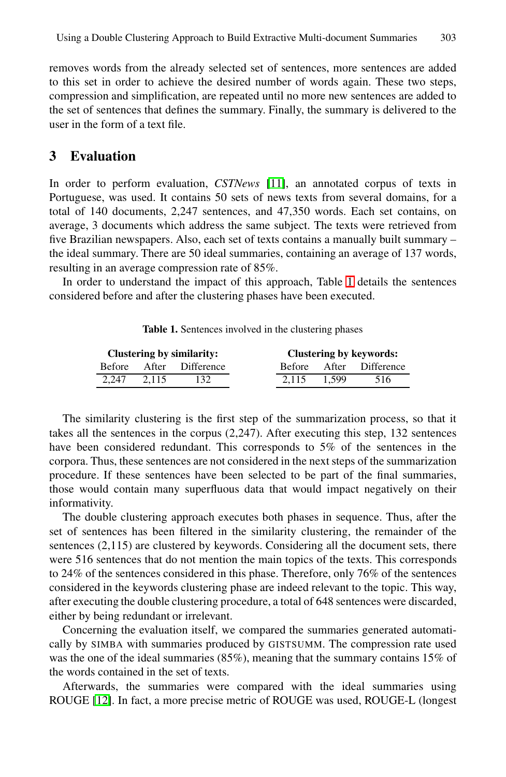<span id="page-5-0"></span>removes words from the already selected set of sentences, more sentences are added to this set in order to achieve the desired number of words again. These two steps, compression and simplification, are repeated until no more new sentences are added to the set of sentences that defines the summary. Finally, the summary is delivered to the user in the form of a text file.

## **3 Evaluation**

In order to perform evaluation, *CSTNews* [\[11\]](#page-7-11), an annotated corpus of texts in Portuguese, was used. It contains 50 sets of news texts from several domains, for a total of 140 documents, 2,247 sentences, and 47,350 words. Each set contains, on average, 3 documents which address the same subject. The texts were retrieved from five Brazilian newspapers. Also, each set of texts contains a manually built summary – the ideal summary. There are 50 ideal summaries, containing an average of 137 words, resulting in an average compression rate of 85%.

In order to understand the impact of this approach, Table [1](#page-5-1) details the sentences considered before and after the clustering phases have been executed.

|               |       | Clustering by similarity: |        |       | <b>Clustering by keywords:</b> |
|---------------|-------|---------------------------|--------|-------|--------------------------------|
| <b>Before</b> |       | After Difference          | Before |       | After Difference               |
| 2.247         | 2.115 | 132                       | 2.115  | 1.599 | 516                            |

<span id="page-5-1"></span>**Table 1.** Sentences involved in the clustering phases

The similarity clustering is the first step of the summarization process, so that it takes all the sentences in the corpus (2,247). After executing this step, 132 sentences have been considered redundant. This corresponds to 5% of the sentences in the corpora. Thus, these sentences are not considered in the next steps of the summarization procedure. If these sentences have been selected to be part of the final summaries, those would contain many superfluous data that would impact negatively on their informativity.

The double clustering approach executes both phases in sequence. Thus, after the set of sentences has been filtered in the similarity clustering, the remainder of the sentences (2,115) are clustered by keywords. Considering all the document sets, there were 516 sentences that do not mention the main topics of the texts. This corresponds to 24% of the sentences considered in this phase. Therefore, only 76% of the sentences considered in the keywords clustering phase are indeed relevant to the topic. This way, after executing the double clustering procedure, a total of 648 sentences were discarded, either by being redundant or irrelevant.

Concerning the evaluation itself, we compared the summaries generated automatically by SIMBA with summaries produced by GISTSUMM. The compression rate used was the one of the ideal summaries (85%), meaning that the summary contains 15% of the words contained in the set of texts.

Afterwards, the summaries were compared with the ideal summaries using ROUGE [\[12\]](#page-7-12). In fact, a more precise metric of ROUGE was used, ROUGE-L (longest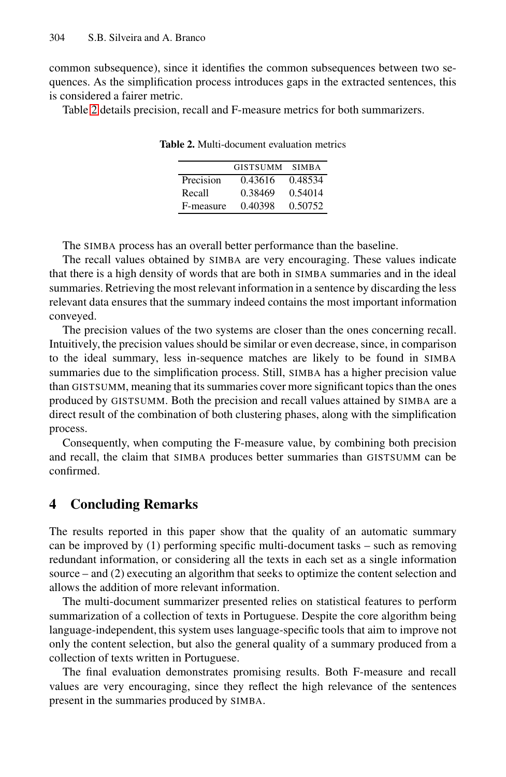common subsequence), since it identifies the common subsequences between two sequences. As the simplification process introduces gaps in the extracted sentences, this is considered a fairer metric.

Table [2](#page-6-1) details precision, recall and F-measure metrics for both summarizers.

<span id="page-6-1"></span>

|           | <b>GISTSUMM</b> | <b>SIMBA</b> |
|-----------|-----------------|--------------|
| Precision | 0.43616         | 0.48534      |
| Recall    | 0.38469         | 0.54014      |
| F-measure | 0.40398         | 0.50752      |

**Table 2.** Multi-document evaluation metrics

The SIMBA process has an overall better performance than the baseline.

The recall values obtained by SIMBA are very encouraging. These values indicate that there is a high density of words that are both in SIMBA summaries and in the ideal summaries. Retrieving the most relevant information in a sentence by discarding the less relevant data ensures that the summary indeed contains the most important information conveyed.

<span id="page-6-0"></span>The precision values of the two systems are closer than the ones concerning recall. Intuitively, the precision values should be similar or even decrease, since, in comparison to the ideal summary, less in-sequence matches are likely to be found in SIMBA summaries due to the simplification process. Still, SIMBA has a higher precision value than GISTSUMM, meaning that its summaries cover more significant topics than the ones produced by GISTSUMM. Both the precision and recall values attained by SIMBA are a direct result of the combination of both clustering phases, along with the simplification process.

Consequently, when computing the F-measure value, by combining both precision and recall, the claim that SIMBA produces better summaries than GISTSUMM can be confirmed.

# **4 Concluding Remarks**

The results reported in this paper show that the quality of an automatic summary can be improved by (1) performing specific multi-document tasks – such as removing redundant information, or considering all the texts in each set as a single information source – and (2) executing an algorithm that seeks to optimize the content selection and allows the addition of more relevant information.

The multi-document summarizer presented relies on statistical features to perform summarization of a collection of texts in Portuguese. Despite the core algorithm being language-independent, this system uses language-specific tools that aim to improve not only the content selection, but also the general quality of a summary produced from a collection of texts written in Portuguese.

The final evaluation demonstrates promising results. Both F-measure and recall values are very encouraging, since they reflect the high relevance of the sentences present in the summaries produced by SIMBA.